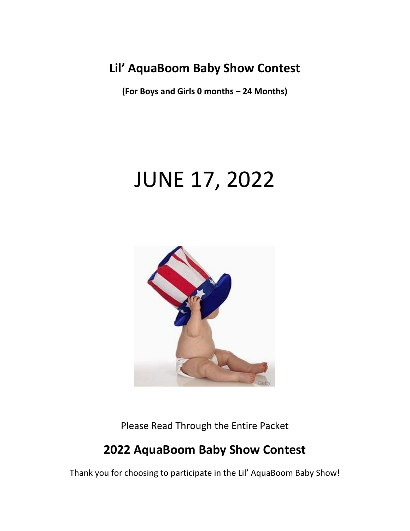## **Lil' AquaBoom Baby Show Contest**

**(For Boys and Girls 0 months – 24 Months)**

# JUNE 17, 2022



Please Read Through the Entire Packet

# **2022 AquaBoom Baby Show Contest**

Thank you for choosing to participate in the Lil' AquaBoom Baby Show!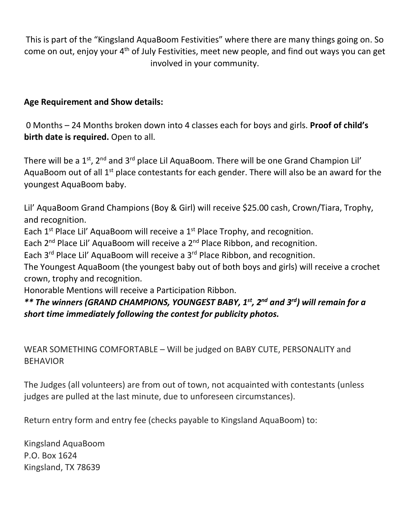This is part of the "Kingsland AquaBoom Festivities" where there are many things going on. So come on out, enjoy your 4th of July Festivities, meet new people, and find out ways you can get involved in your community.

#### **Age Requirement and Show details:**

0 Months – 24 Months broken down into 4 classes each for boys and girls. **Proof of child's birth date is required.** Open to all.

There will be a 1<sup>st</sup>, 2<sup>nd</sup> and 3<sup>rd</sup> place Lil AquaBoom. There will be one Grand Champion Lil' AquaBoom out of all  $1<sup>st</sup>$  place contestants for each gender. There will also be an award for the youngest AquaBoom baby.

Lil' AquaBoom Grand Champions (Boy & Girl) will receive \$25.00 cash, Crown/Tiara, Trophy, and recognition.

Each  $1^{st}$  Place Lil' AquaBoom will receive a  $1^{st}$  Place Trophy, and recognition.

Each  $2^{nd}$  Place Lil' AquaBoom will receive a  $2^{nd}$  Place Ribbon, and recognition.

Each 3<sup>rd</sup> Place Lil' AquaBoom will receive a 3<sup>rd</sup> Place Ribbon, and recognition.

The Youngest AquaBoom (the youngest baby out of both boys and girls) will receive a crochet crown, trophy and recognition.

Honorable Mentions will receive a Participation Ribbon.

### *\*\* The winners (GRAND CHAMPIONS, YOUNGEST BABY, 1st, 2nd and 3rd) will remain for a short time immediately following the contest for publicity photos.*

WEAR SOMETHING COMFORTABLE – Will be judged on BABY CUTE, PERSONALITY and BEHAVIOR

The Judges (all volunteers) are from out of town, not acquainted with contestants (unless judges are pulled at the last minute, due to unforeseen circumstances).

Return entry form and entry fee (checks payable to Kingsland AquaBoom) to:

Kingsland AquaBoom P.O. Box 1624 Kingsland, TX 78639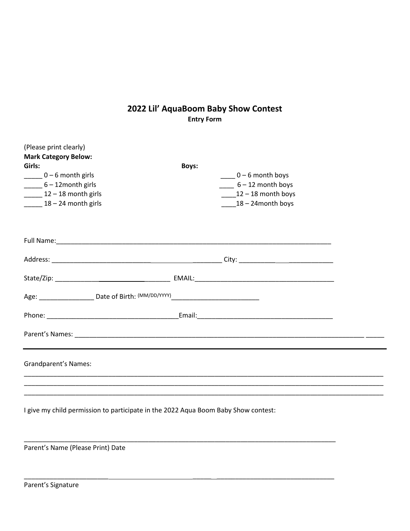#### **2022 Lil' AquaBoom Baby Show Contest Entry Form**

| (Please print clearly)<br><b>Mark Category Below:</b><br>Girls:<br>$\frac{1}{2}$ 0 – 6 month girls<br>$\frac{1}{2}$ 6 – 12month girls<br>$\frac{12-18}{ }$ month girls<br>$18 - 24$ month girls | <b>Boys:</b><br>$0 - 6$ month boys<br>$-6 - 12$ month boys<br>$12 - 18$ month boys<br>$18 - 24$ month boys |
|-------------------------------------------------------------------------------------------------------------------------------------------------------------------------------------------------|------------------------------------------------------------------------------------------------------------|
|                                                                                                                                                                                                 |                                                                                                            |
|                                                                                                                                                                                                 |                                                                                                            |
|                                                                                                                                                                                                 |                                                                                                            |
| Age: ______________________Date of Birth: (MM/DD/YYYY) _________________________                                                                                                                |                                                                                                            |
|                                                                                                                                                                                                 |                                                                                                            |
|                                                                                                                                                                                                 |                                                                                                            |
| <b>Grandparent's Names:</b>                                                                                                                                                                     |                                                                                                            |
|                                                                                                                                                                                                 |                                                                                                            |

I give my child permission to participate in the 2022 Aqua Boom Baby Show contest:

\_\_\_\_\_\_\_\_\_\_\_\_\_\_\_\_\_\_\_\_\_\_\_\_\_\_\_\_\_\_\_\_\_\_\_\_\_\_\_\_\_\_\_\_\_\_\_\_\_\_\_\_\_\_\_\_\_\_\_\_\_\_\_\_\_\_\_\_\_\_\_\_\_\_\_\_\_\_\_\_\_\_\_\_\_

\_\_\_\_\_\_\_\_\_\_\_\_\_\_\_\_\_\_\_\_\_\_\_ \_\_\_\_\_ \_\_\_\_\_\_\_\_\_\_\_\_\_\_\_\_\_\_\_\_\_\_\_\_\_\_\_\_\_\_\_\_

Parent's Name (Please Print) Date

Parent's Signature